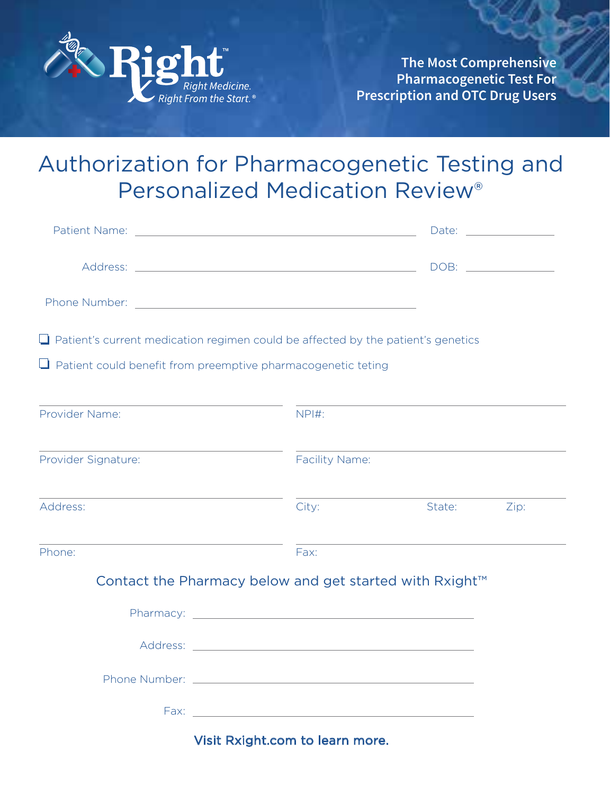

## Authorization for Pharmacogenetic Testing and Personalized Medication Review®

| $\Box$ Patient's current medication regimen could be affected by the patient's genetics |                                                                                                                |        |      |  |  |  |
|-----------------------------------------------------------------------------------------|----------------------------------------------------------------------------------------------------------------|--------|------|--|--|--|
| $\Box$ Patient could benefit from preemptive pharmacogenetic teting                     |                                                                                                                |        |      |  |  |  |
| Provider Name:                                                                          | $NPH$ :                                                                                                        |        |      |  |  |  |
| Provider Signature:                                                                     | Facility Name:                                                                                                 |        |      |  |  |  |
| Address:                                                                                | City:                                                                                                          | State: | Zip: |  |  |  |
| Phone:                                                                                  | Fax:                                                                                                           |        |      |  |  |  |
| Contact the Pharmacy below and get started with Rxight™                                 |                                                                                                                |        |      |  |  |  |
|                                                                                         |                                                                                                                |        |      |  |  |  |
|                                                                                         | Address: North Address: Address: North Address: North Address: North Address: North Address: North Address: No |        |      |  |  |  |
|                                                                                         |                                                                                                                |        |      |  |  |  |
|                                                                                         |                                                                                                                |        |      |  |  |  |
|                                                                                         | Visit Rxight.com to learn more.                                                                                |        |      |  |  |  |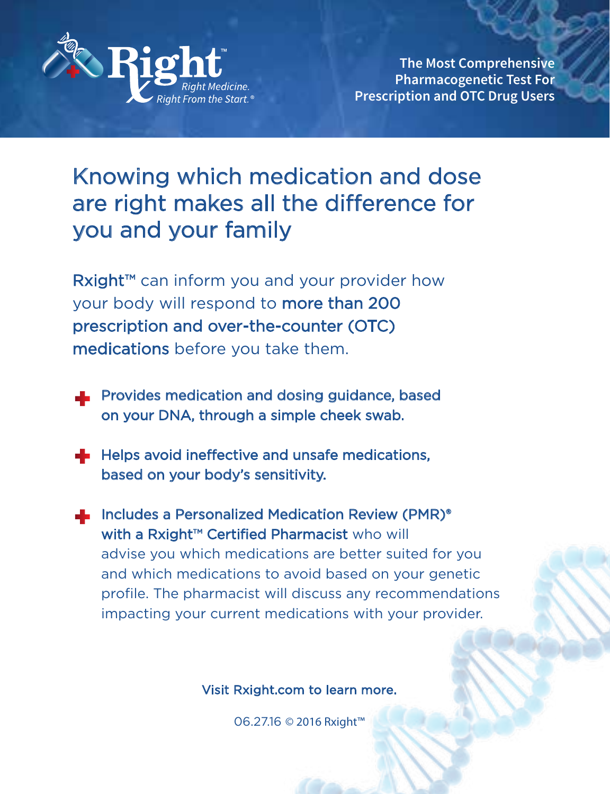

**The Most Comprehensive Pharmacogenetic Test For Prescription and OTC Drug Users**

### Knowing which medication and dose are right makes all the difference for you and your family

Rxight™ can inform you and your provider how your body will respond to more than 200 prescription and over-the-counter (OTC) medications before you take them.

- **Provides medication and dosing guidance, based** on your DNA, through a simple cheek swab.
- Helps avoid ineffective and unsafe medications, based on your body's sensitivity.
- Includes a Personalized Medication Review (PMR)<sup>®</sup> with a Rxight™ Certified Pharmacist who will advise you which medications are better suited for you and which medications to avoid based on your genetic profile. The pharmacist will discuss any recommendations impacting your current medications with your provider.

#### Visit Rxight.com to learn more.

06.27.16 © 2016 Rxight™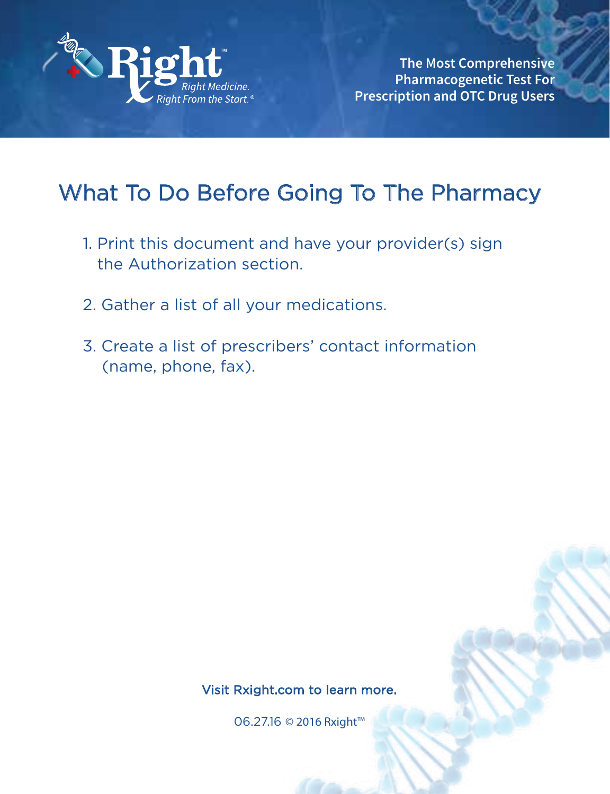

**The Most Comprehensive Pharmacogenetic Test For Prescription and OTC Drug Users**

## What To Do Before Going To The Pharmacy

- 1. Print this document and have your provider(s) sign the Authorization section.
- 2. Gather a list of all your medications.
- 3. Create a list of prescribers' contact information (name, phone, fax).

#### Visit Rxight.com to learn more.

06.27.16 © 2016 Rxight™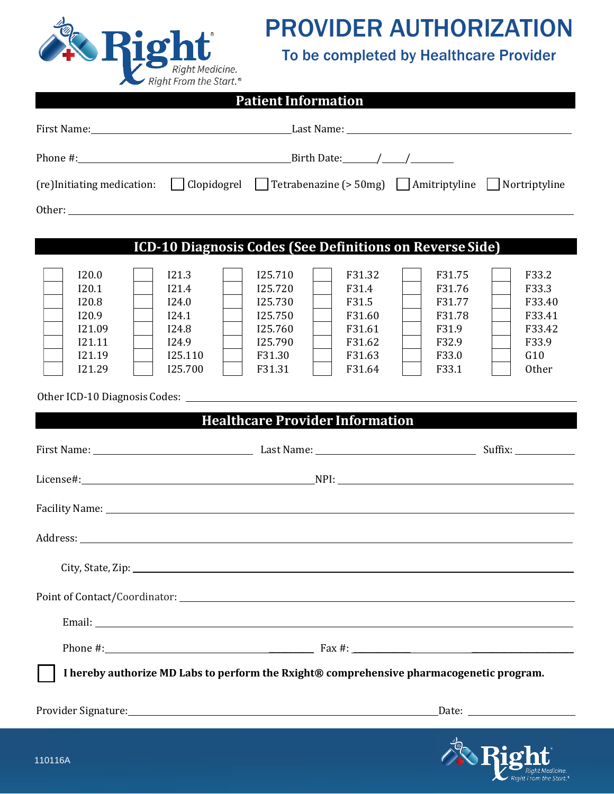

# PROVIDER AUTHORIZATION

# To be completed by Healthcare Provider

| $T$ $\sim$ $\sim$ $\sim$ $\sim$ $\sim$                                                                                                                                                                                         | Right Medicine.<br>Right From the Start. <sup>®</sup>                                                                    | To be completed by Healthcare Provider                                             |                                                                            |                                                                          |                                                                       |  |
|--------------------------------------------------------------------------------------------------------------------------------------------------------------------------------------------------------------------------------|--------------------------------------------------------------------------------------------------------------------------|------------------------------------------------------------------------------------|----------------------------------------------------------------------------|--------------------------------------------------------------------------|-----------------------------------------------------------------------|--|
|                                                                                                                                                                                                                                |                                                                                                                          | <b>Patient Information</b>                                                         |                                                                            |                                                                          |                                                                       |  |
|                                                                                                                                                                                                                                |                                                                                                                          |                                                                                    |                                                                            |                                                                          |                                                                       |  |
|                                                                                                                                                                                                                                |                                                                                                                          |                                                                                    |                                                                            |                                                                          |                                                                       |  |
|                                                                                                                                                                                                                                | $[Fe]$ Initiating medication: $\Box$ Clopidogrel $\Box$ Tetrabenazine (> 50mg) $\Box$ Amitriptyline $\Box$ Nortriptyline |                                                                                    |                                                                            |                                                                          |                                                                       |  |
| Other: experience of the contract of the contract of the contract of the contract of the contract of the contract of the contract of the contract of the contract of the contract of the contract of the contract of the contr |                                                                                                                          |                                                                                    |                                                                            |                                                                          |                                                                       |  |
|                                                                                                                                                                                                                                |                                                                                                                          |                                                                                    |                                                                            | ICD-10 Diagnosis Codes (See Definitions on Reverse Side)                 |                                                                       |  |
|                                                                                                                                                                                                                                |                                                                                                                          |                                                                                    |                                                                            |                                                                          |                                                                       |  |
| I20.0<br>I20.1<br>I20.8<br>I20.9<br>I21.09<br>I21.11<br>I21.19<br>I21.29                                                                                                                                                       | I21.3<br>I21.4<br>I24.0<br>I24.1<br>I24.8<br>I24.9<br>I25.110<br>I25.700                                                 | 125.710<br>125.720<br>125.730<br>I25.750<br>I25.760<br>I25.790<br>F31.30<br>F31.31 | F31.32<br>F31.4<br>F31.5<br>F31.60<br>F31.61<br>F31.62<br>F31.63<br>F31.64 | F31.75<br>F31.76<br>F31.77<br>F31.78<br>F31.9<br>F32.9<br>F33.0<br>F33.1 | F33.2<br>F33.3<br>F33.40<br>F33.41<br>F33.42<br>F33.9<br>G10<br>Other |  |
|                                                                                                                                                                                                                                |                                                                                                                          |                                                                                    |                                                                            |                                                                          |                                                                       |  |
|                                                                                                                                                                                                                                |                                                                                                                          | <b>Healthcare Provider Information</b>                                             |                                                                            |                                                                          |                                                                       |  |
|                                                                                                                                                                                                                                |                                                                                                                          |                                                                                    |                                                                            |                                                                          |                                                                       |  |
|                                                                                                                                                                                                                                |                                                                                                                          |                                                                                    |                                                                            |                                                                          |                                                                       |  |
|                                                                                                                                                                                                                                |                                                                                                                          |                                                                                    |                                                                            |                                                                          |                                                                       |  |
|                                                                                                                                                                                                                                |                                                                                                                          |                                                                                    |                                                                            |                                                                          |                                                                       |  |
|                                                                                                                                                                                                                                |                                                                                                                          |                                                                                    |                                                                            |                                                                          |                                                                       |  |
|                                                                                                                                                                                                                                |                                                                                                                          |                                                                                    |                                                                            |                                                                          |                                                                       |  |
|                                                                                                                                                                                                                                |                                                                                                                          |                                                                                    |                                                                            |                                                                          |                                                                       |  |
|                                                                                                                                                                                                                                |                                                                                                                          |                                                                                    |                                                                            |                                                                          |                                                                       |  |
| I hereby authorize MD Labs to perform the Rxight® comprehensive pharmacogenetic program.                                                                                                                                       |                                                                                                                          |                                                                                    |                                                                            |                                                                          |                                                                       |  |
|                                                                                                                                                                                                                                |                                                                                                                          |                                                                                    |                                                                            |                                                                          |                                                                       |  |